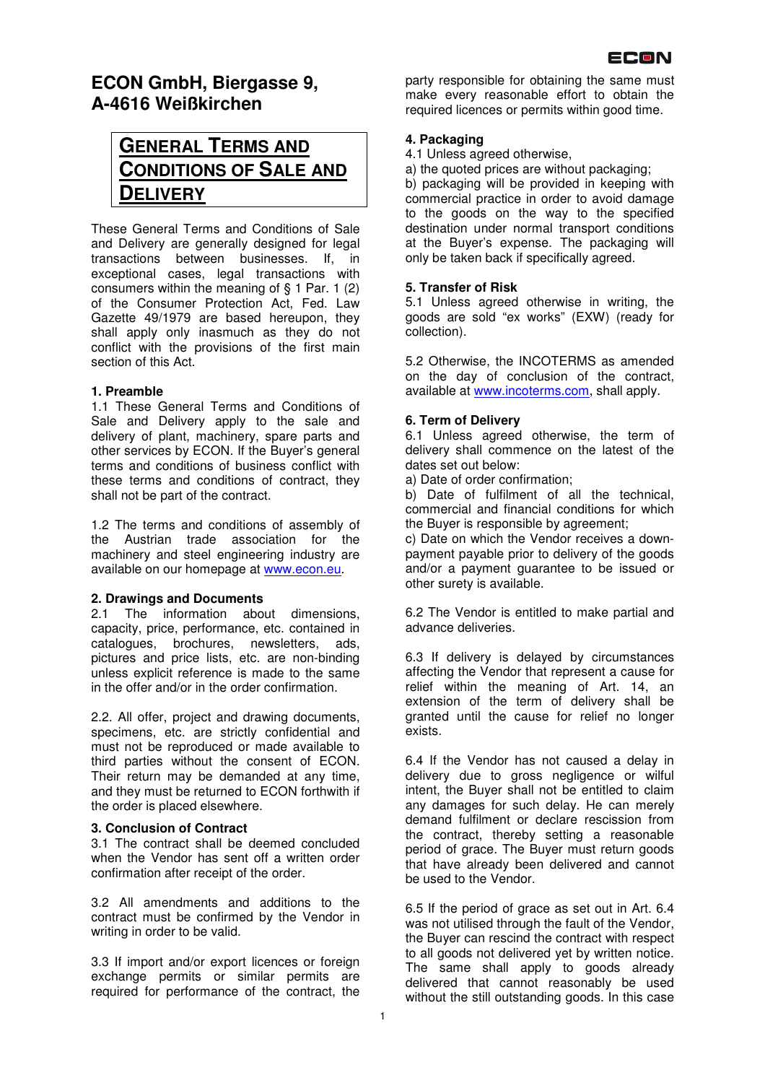

# **ECON GmbH, Biergasse 9, A-4616 Weißkirchen**

# **GENERAL TERMS AND CONDITIONS OF SALE AND DELIVERY**

These General Terms and Conditions of Sale and Delivery are generally designed for legal transactions between businesses. If, in exceptional cases, legal transactions with consumers within the meaning of § 1 Par. 1 (2) of the Consumer Protection Act, Fed. Law Gazette 49/1979 are based hereupon, they shall apply only inasmuch as they do not conflict with the provisions of the first main section of this Act.

#### **1. Preamble**

1.1 These General Terms and Conditions of Sale and Delivery apply to the sale and delivery of plant, machinery, spare parts and other services by ECON. If the Buyer's general terms and conditions of business conflict with these terms and conditions of contract, they shall not be part of the contract.

1.2 The terms and conditions of assembly of the Austrian trade association for the machinery and steel engineering industry are available on our homepage at www.econ.eu.

#### **2. Drawings and Documents**

2.1 The information about dimensions. capacity, price, performance, etc. contained in catalogues, brochures, newsletters, ads, pictures and price lists, etc. are non-binding unless explicit reference is made to the same in the offer and/or in the order confirmation.

2.2. All offer, project and drawing documents, specimens, etc. are strictly confidential and must not be reproduced or made available to third parties without the consent of ECON. Their return may be demanded at any time, and they must be returned to ECON forthwith if the order is placed elsewhere.

# **3. Conclusion of Contract**

3.1 The contract shall be deemed concluded when the Vendor has sent off a written order confirmation after receipt of the order.

3.2 All amendments and additions to the contract must be confirmed by the Vendor in writing in order to be valid.

3.3 If import and/or export licences or foreign exchange permits or similar permits are required for performance of the contract, the

party responsible for obtaining the same must make every reasonable effort to obtain the required licences or permits within good time.

# **4. Packaging**

4.1 Unless agreed otherwise,

a) the quoted prices are without packaging;

b) packaging will be provided in keeping with commercial practice in order to avoid damage to the goods on the way to the specified destination under normal transport conditions at the Buyer's expense. The packaging will only be taken back if specifically agreed.

# **5. Transfer of Risk**

5.1 Unless agreed otherwise in writing, the goods are sold "ex works" (EXW) (ready for collection).

5.2 Otherwise, the INCOTERMS as amended on the day of conclusion of the contract, available at www.incoterms.com, shall apply.

#### **6. Term of Delivery**

6.1 Unless agreed otherwise, the term of delivery shall commence on the latest of the dates set out below:

a) Date of order confirmation;

b) Date of fulfilment of all the technical, commercial and financial conditions for which the Buyer is responsible by agreement;

c) Date on which the Vendor receives a downpayment payable prior to delivery of the goods and/or a payment guarantee to be issued or other surety is available.

6.2 The Vendor is entitled to make partial and advance deliveries.

6.3 If delivery is delayed by circumstances affecting the Vendor that represent a cause for relief within the meaning of Art. 14, an extension of the term of delivery shall be granted until the cause for relief no longer exists.

6.4 If the Vendor has not caused a delay in delivery due to gross negligence or wilful intent, the Buyer shall not be entitled to claim any damages for such delay. He can merely demand fulfilment or declare rescission from the contract, thereby setting a reasonable period of grace. The Buyer must return goods that have already been delivered and cannot be used to the Vendor.

6.5 If the period of grace as set out in Art. 6.4 was not utilised through the fault of the Vendor, the Buyer can rescind the contract with respect to all goods not delivered yet by written notice. The same shall apply to goods already delivered that cannot reasonably be used without the still outstanding goods. In this case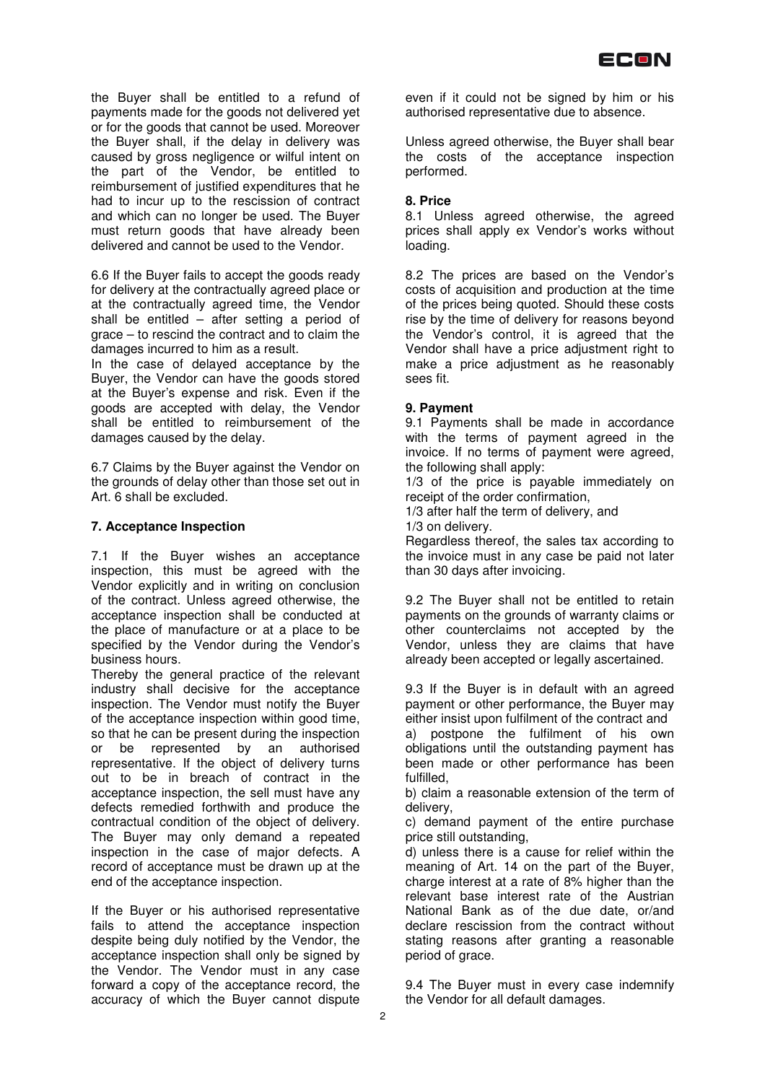

the Buyer shall be entitled to a refund of payments made for the goods not delivered yet or for the goods that cannot be used. Moreover the Buyer shall, if the delay in delivery was caused by gross negligence or wilful intent on the part of the Vendor, be entitled to reimbursement of justified expenditures that he had to incur up to the rescission of contract and which can no longer be used. The Buyer must return goods that have already been delivered and cannot be used to the Vendor.

6.6 If the Buyer fails to accept the goods ready for delivery at the contractually agreed place or at the contractually agreed time, the Vendor shall be entitled – after setting a period of grace – to rescind the contract and to claim the damages incurred to him as a result.

In the case of delayed acceptance by the Buyer, the Vendor can have the goods stored at the Buyer's expense and risk. Even if the goods are accepted with delay, the Vendor shall be entitled to reimbursement of the damages caused by the delay.

6.7 Claims by the Buyer against the Vendor on the grounds of delay other than those set out in Art. 6 shall be excluded.

#### **7. Acceptance Inspection**

7.1 If the Buyer wishes an acceptance inspection, this must be agreed with the Vendor explicitly and in writing on conclusion of the contract. Unless agreed otherwise, the acceptance inspection shall be conducted at the place of manufacture or at a place to be specified by the Vendor during the Vendor's business hours.

Thereby the general practice of the relevant industry shall decisive for the acceptance inspection. The Vendor must notify the Buyer of the acceptance inspection within good time, so that he can be present during the inspection or be represented by an authorised representative. If the object of delivery turns out to be in breach of contract in the acceptance inspection, the sell must have any defects remedied forthwith and produce the contractual condition of the object of delivery. The Buyer may only demand a repeated inspection in the case of major defects. A record of acceptance must be drawn up at the end of the acceptance inspection.

If the Buyer or his authorised representative fails to attend the acceptance inspection despite being duly notified by the Vendor, the acceptance inspection shall only be signed by the Vendor. The Vendor must in any case forward a copy of the acceptance record, the accuracy of which the Buyer cannot dispute

even if it could not be signed by him or his authorised representative due to absence.

Unless agreed otherwise, the Buyer shall bear the costs of the acceptance inspection performed.

#### **8. Price**

8.1 Unless agreed otherwise, the agreed prices shall apply ex Vendor's works without loading.

8.2 The prices are based on the Vendor's costs of acquisition and production at the time of the prices being quoted. Should these costs rise by the time of delivery for reasons beyond the Vendor's control, it is agreed that the Vendor shall have a price adjustment right to make a price adjustment as he reasonably sees fit.

#### **9. Payment**

9.1 Payments shall be made in accordance with the terms of payment agreed in the invoice. If no terms of payment were agreed, the following shall apply:

1/3 of the price is payable immediately on receipt of the order confirmation,

1/3 after half the term of delivery, and

1/3 on delivery.

Regardless thereof, the sales tax according to the invoice must in any case be paid not later than 30 days after invoicing.

9.2 The Buyer shall not be entitled to retain payments on the grounds of warranty claims or other counterclaims not accepted by the Vendor, unless they are claims that have already been accepted or legally ascertained.

9.3 If the Buyer is in default with an agreed payment or other performance, the Buyer may either insist upon fulfilment of the contract and a) postpone the fulfilment of his own obligations until the outstanding payment has been made or other performance has been fulfilled,

b) claim a reasonable extension of the term of delivery,

c) demand payment of the entire purchase price still outstanding,

d) unless there is a cause for relief within the meaning of Art. 14 on the part of the Buyer, charge interest at a rate of 8% higher than the relevant base interest rate of the Austrian National Bank as of the due date, or/and declare rescission from the contract without stating reasons after granting a reasonable period of grace.

9.4 The Buyer must in every case indemnify the Vendor for all default damages.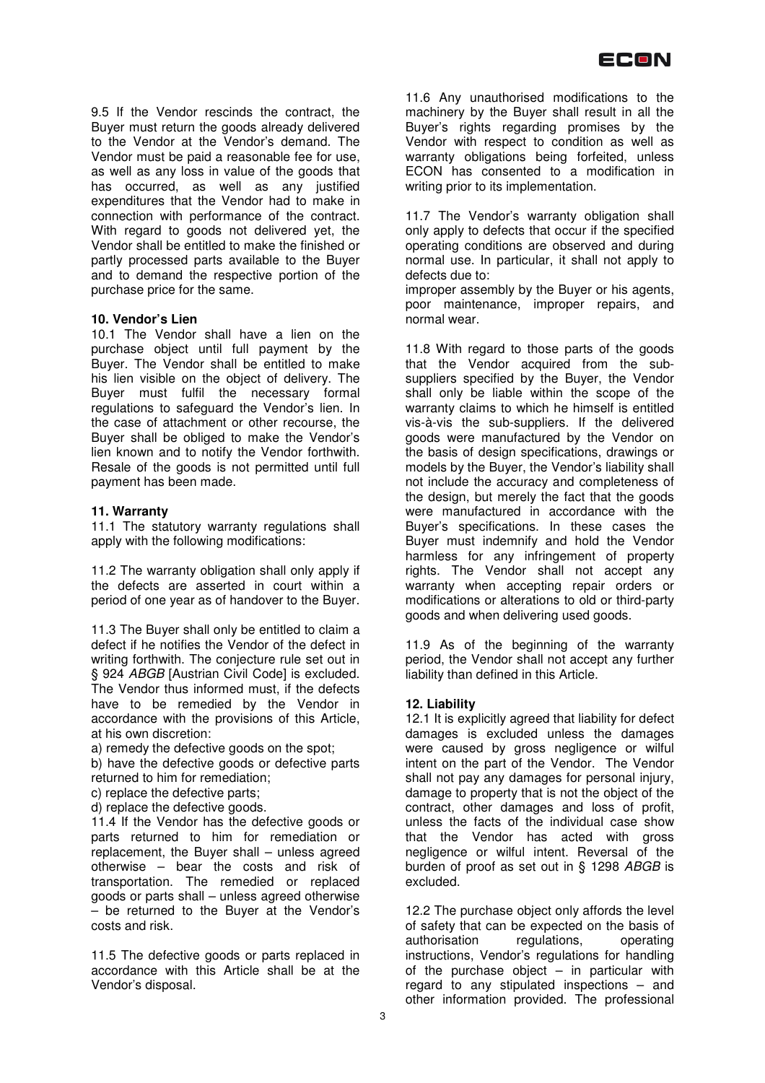9.5 If the Vendor rescinds the contract, the Buyer must return the goods already delivered to the Vendor at the Vendor's demand. The Vendor must be paid a reasonable fee for use, as well as any loss in value of the goods that has occurred, as well as any justified expenditures that the Vendor had to make in connection with performance of the contract. With regard to goods not delivered yet, the Vendor shall be entitled to make the finished or partly processed parts available to the Buyer and to demand the respective portion of the purchase price for the same.

#### **10. Vendor's Lien**

10.1 The Vendor shall have a lien on the purchase object until full payment by the Buyer. The Vendor shall be entitled to make his lien visible on the object of delivery. The Buyer must fulfil the necessary formal regulations to safeguard the Vendor's lien. In the case of attachment or other recourse, the Buyer shall be obliged to make the Vendor's lien known and to notify the Vendor forthwith. Resale of the goods is not permitted until full payment has been made.

#### **11. Warranty**

11.1 The statutory warranty regulations shall apply with the following modifications:

11.2 The warranty obligation shall only apply if the defects are asserted in court within a period of one year as of handover to the Buyer.

11.3 The Buyer shall only be entitled to claim a defect if he notifies the Vendor of the defect in writing forthwith. The conjecture rule set out in § 924 ABGB [Austrian Civil Code] is excluded. The Vendor thus informed must, if the defects have to be remedied by the Vendor in accordance with the provisions of this Article, at his own discretion:

a) remedy the defective goods on the spot;

b) have the defective goods or defective parts returned to him for remediation;

c) replace the defective parts;

d) replace the defective goods.

11.4 If the Vendor has the defective goods or parts returned to him for remediation or replacement, the Buyer shall – unless agreed otherwise – bear the costs and risk of transportation. The remedied or replaced goods or parts shall – unless agreed otherwise – be returned to the Buyer at the Vendor's costs and risk.

11.5 The defective goods or parts replaced in accordance with this Article shall be at the Vendor's disposal.

11.6 Any unauthorised modifications to the machinery by the Buyer shall result in all the Buyer's rights regarding promises by the Vendor with respect to condition as well as warranty obligations being forfeited, unless ECON has consented to a modification in writing prior to its implementation.

11.7 The Vendor's warranty obligation shall only apply to defects that occur if the specified operating conditions are observed and during normal use. In particular, it shall not apply to defects due to:

improper assembly by the Buyer or his agents, poor maintenance, improper repairs, and normal wear.

11.8 With regard to those parts of the goods that the Vendor acquired from the subsuppliers specified by the Buyer, the Vendor shall only be liable within the scope of the warranty claims to which he himself is entitled vis-à-vis the sub-suppliers. If the delivered goods were manufactured by the Vendor on the basis of design specifications, drawings or models by the Buyer, the Vendor's liability shall not include the accuracy and completeness of the design, but merely the fact that the goods were manufactured in accordance with the Buyer's specifications. In these cases the Buyer must indemnify and hold the Vendor harmless for any infringement of property rights. The Vendor shall not accept any warranty when accepting repair orders or modifications or alterations to old or third-party goods and when delivering used goods.

11.9 As of the beginning of the warranty period, the Vendor shall not accept any further liability than defined in this Article.

#### **12. Liability**

12.1 It is explicitly agreed that liability for defect damages is excluded unless the damages were caused by gross negligence or wilful intent on the part of the Vendor. The Vendor shall not pay any damages for personal injury, damage to property that is not the object of the contract, other damages and loss of profit, unless the facts of the individual case show that the Vendor has acted with gross negligence or wilful intent. Reversal of the burden of proof as set out in § 1298 ABGB is excluded.

12.2 The purchase object only affords the level of safety that can be expected on the basis of<br>authorisation regulations, operating authorisation regulations, instructions, Vendor's regulations for handling of the purchase object  $-$  in particular with regard to any stipulated inspections – and other information provided. The professional